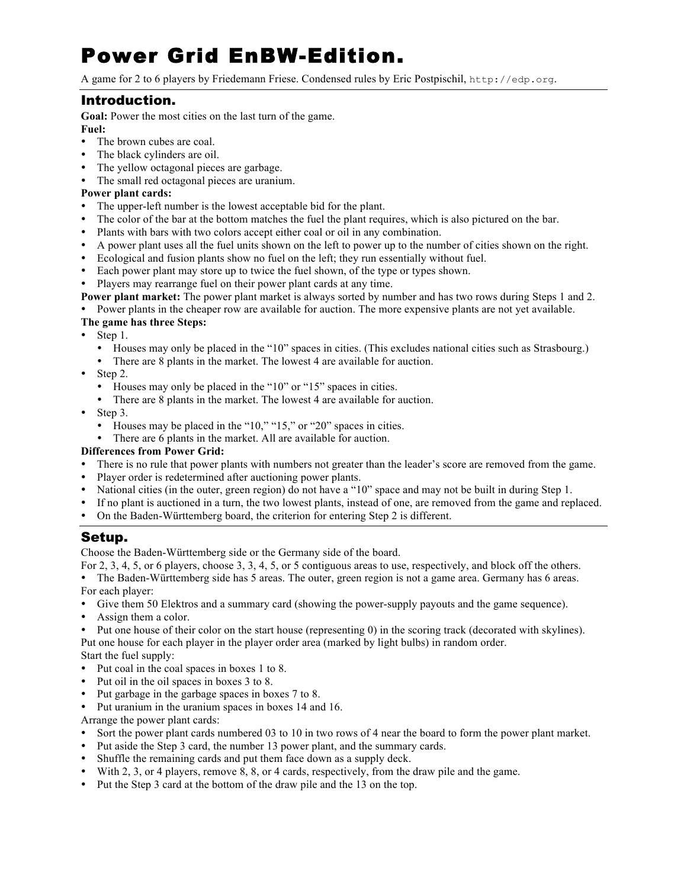# Power Grid EnBW-Edition.

A game for 2 to 6 players by Friedemann Friese. Condensed rules by Eric Postpischil, http://edp.org.

## Introduction.

**Goal:** Power the most cities on the last turn of the game. **Fuel:**

- The brown cubes are coal.
- The black cylinders are oil.
- The yellow octagonal pieces are garbage.
- The small red octagonal pieces are uranium.

## **Power plant cards:**

- The upper-left number is the lowest acceptable bid for the plant.
- The color of the bar at the bottom matches the fuel the plant requires, which is also pictured on the bar.
- Plants with bars with two colors accept either coal or oil in any combination.
- A power plant uses all the fuel units shown on the left to power up to the number of cities shown on the right.
- Ecological and fusion plants show no fuel on the left; they run essentially without fuel.
- Each power plant may store up to twice the fuel shown, of the type or types shown.
- Players may rearrange fuel on their power plant cards at any time.
- **Power plant market:** The power plant market is always sorted by number and has two rows during Steps 1 and 2.
- Power plants in the cheaper row are available for auction. The more expensive plants are not yet available.

## **The game has three Steps:**

- $\bullet$  Step 1.
	- Houses may only be placed in the "10" spaces in cities. (This excludes national cities such as Strasbourg.)
	- There are 8 plants in the market. The lowest 4 are available for auction.
- $\bullet$  Step 2.
	- Houses may only be placed in the "10" or "15" spaces in cities.
	- There are 8 plants in the market. The lowest 4 are available for auction.
- Step 3.
	- Houses may be placed in the "10," "15," or "20" spaces in cities.
	- There are 6 plants in the market. All are available for auction.

## **Differences from Power Grid:**

- There is no rule that power plants with numbers not greater than the leader's score are removed from the game.
- Player order is redetermined after auctioning power plants.
- National cities (in the outer, green region) do not have a "10" space and may not be built in during Step 1.
- If no plant is auctioned in a turn, the two lowest plants, instead of one, are removed from the game and replaced.
- On the Baden-Württemberg board, the criterion for entering Step 2 is different.

## Setup.

Choose the Baden-Württemberg side or the Germany side of the board.

For 2, 3, 4, 5, or 6 players, choose 3, 3, 4, 5, or 5 contiguous areas to use, respectively, and block off the others.

- The Baden-Württemberg side has 5 areas. The outer, green region is not a game area. Germany has 6 areas.
- For each player:
- Give them 50 Elektros and a summary card (showing the power-supply payouts and the game sequence).
- Assign them a color.
- Put one house of their color on the start house (representing 0) in the scoring track (decorated with skylines). Put one house for each player in the player order area (marked by light bulbs) in random order.

Start the fuel supply:

- Put coal in the coal spaces in boxes 1 to 8.
- Put oil in the oil spaces in boxes 3 to 8.
- Put garbage in the garbage spaces in boxes 7 to 8.
- Put uranium in the uranium spaces in boxes 14 and 16.

Arrange the power plant cards:

- Sort the power plant cards numbered 03 to 10 in two rows of 4 near the board to form the power plant market.
- Put aside the Step 3 card, the number 13 power plant, and the summary cards.
- Shuffle the remaining cards and put them face down as a supply deck.
- With 2, 3, or 4 players, remove 8, 8, or 4 cards, respectively, from the draw pile and the game.
- Put the Step 3 card at the bottom of the draw pile and the 13 on the top.